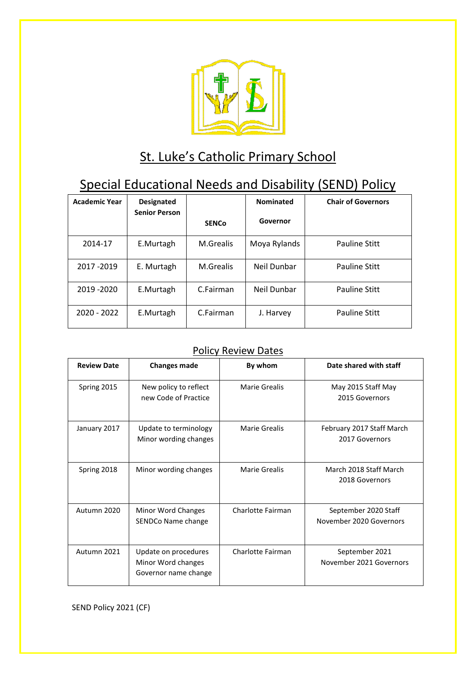

# St. Luke's Catholic Primary School

## Special Educational Needs and Disability (SEND) Policy

| <b>Academic Year</b> | <b>Designated</b><br><b>Senior Person</b> |              | <b>Nominated</b> | <b>Chair of Governors</b> |
|----------------------|-------------------------------------------|--------------|------------------|---------------------------|
|                      |                                           | <b>SENCo</b> | Governor         |                           |
| 2014-17              | E.Murtagh                                 | M.Grealis    | Moya Rylands     | <b>Pauline Stitt</b>      |
| 2017 - 2019          | E. Murtagh                                | M.Grealis    | Neil Dunbar      | <b>Pauline Stitt</b>      |
| 2019 - 2020          | E.Murtagh                                 | C.Fairman    | Neil Dunbar      | Pauline Stitt             |
| 2020 - 2022          | E.Murtagh                                 | C.Fairman    | J. Harvey        | <b>Pauline Stitt</b>      |

## Policy Review Dates

| <b>Review Date</b> | <b>Changes made</b>                                                | By whom              | Date shared with staff                          |
|--------------------|--------------------------------------------------------------------|----------------------|-------------------------------------------------|
| Spring 2015        | New policy to reflect<br>new Code of Practice                      | Marie Grealis        | May 2015 Staff May<br>2015 Governors            |
| January 2017       | Update to terminology<br>Minor wording changes                     | Marie Grealis        | February 2017 Staff March<br>2017 Governors     |
| Spring 2018        | Minor wording changes                                              | <b>Marie Grealis</b> | March 2018 Staff March<br>2018 Governors        |
| Autumn 2020        | Minor Word Changes<br>SENDCo Name change                           | Charlotte Fairman    | September 2020 Staff<br>November 2020 Governors |
| Autumn 2021        | Update on procedures<br>Minor Word changes<br>Governor name change | Charlotte Fairman    | September 2021<br>November 2021 Governors       |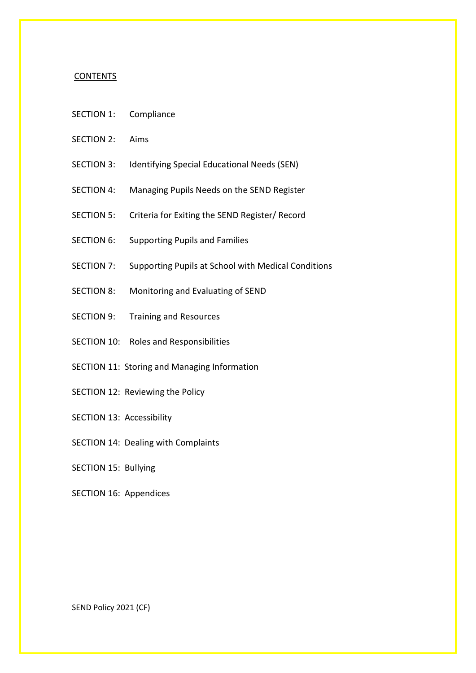#### **CONTENTS**

- SECTION 1: Compliance
- SECTION 2: Aims
- SECTION 3: Identifying Special Educational Needs (SEN)
- SECTION 4: Managing Pupils Needs on the SEND Register
- SECTION 5: Criteria for Exiting the SEND Register/ Record
- SECTION 6: Supporting Pupils and Families
- SECTION 7: Supporting Pupils at School with Medical Conditions
- SECTION 8: Monitoring and Evaluating of SEND
- SECTION 9: Training and Resources
- SECTION 10: Roles and Responsibilities
- SECTION 11: Storing and Managing Information
- SECTION 12: Reviewing the Policy
- SECTION 13: Accessibility
- SECTION 14: Dealing with Complaints

SECTION 15: Bullying

SECTION 16: Appendices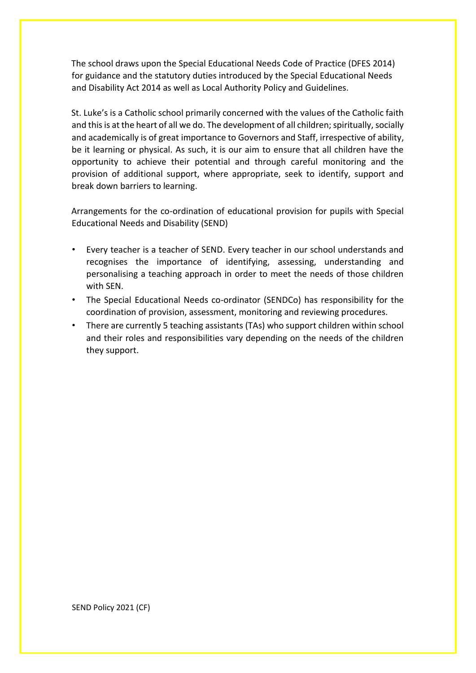The school draws upon the Special Educational Needs Code of Practice (DFES 2014) for guidance and the statutory duties introduced by the Special Educational Needs and Disability Act 2014 as well as Local Authority Policy and Guidelines.

St. Luke's is a Catholic school primarily concerned with the values of the Catholic faith and this is at the heart of all we do. The development of all children; spiritually, socially and academically is of great importance to Governors and Staff, irrespective of ability, be it learning or physical. As such, it is our aim to ensure that all children have the opportunity to achieve their potential and through careful monitoring and the provision of additional support, where appropriate, seek to identify, support and break down barriers to learning.

Arrangements for the co-ordination of educational provision for pupils with Special Educational Needs and Disability (SEND)

- Every teacher is a teacher of SEND. Every teacher in our school understands and recognises the importance of identifying, assessing, understanding and personalising a teaching approach in order to meet the needs of those children with SEN.
- The Special Educational Needs co-ordinator (SENDCo) has responsibility for the coordination of provision, assessment, monitoring and reviewing procedures.
- There are currently 5 teaching assistants (TAs) who support children within school and their roles and responsibilities vary depending on the needs of the children they support.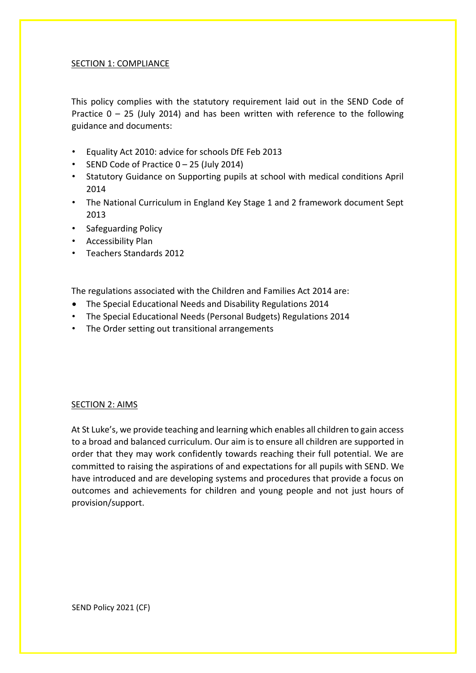## SECTION 1: COMPLIANCE

This policy complies with the statutory requirement laid out in the SEND Code of Practice  $0 - 25$  (July 2014) and has been written with reference to the following guidance and documents:

- Equality Act 2010: advice for schools DfE Feb 2013
- SEND Code of Practice 0 25 (July 2014)
- Statutory Guidance on Supporting pupils at school with medical conditions April 2014
- The National Curriculum in England Key Stage 1 and 2 framework document Sept 2013
- Safeguarding Policy
- Accessibility Plan
- Teachers Standards 2012

The regulations associated with the Children and Families Act 2014 are:

- The Special Educational Needs and Disability Regulations 2014
- The Special Educational Needs (Personal Budgets) Regulations 2014
- The Order setting out transitional arrangements

#### SECTION 2: AIMS

At St Luke's, we provide teaching and learning which enables all children to gain access to a broad and balanced curriculum. Our aim is to ensure all children are supported in order that they may work confidently towards reaching their full potential. We are committed to raising the aspirations of and expectations for all pupils with SEND. We have introduced and are developing systems and procedures that provide a focus on outcomes and achievements for children and young people and not just hours of provision/support.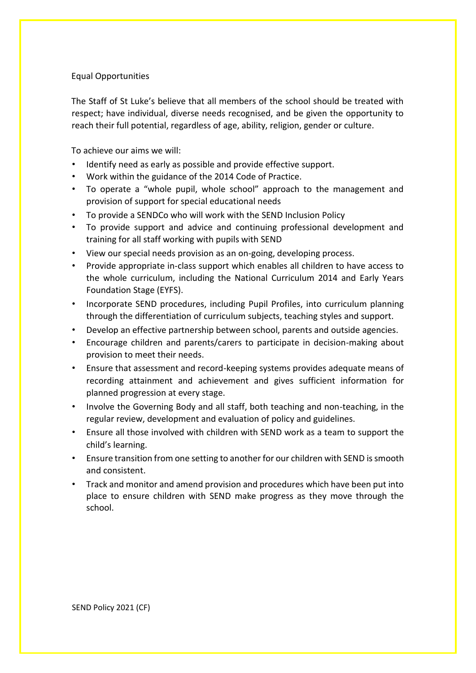#### Equal Opportunities

The Staff of St Luke's believe that all members of the school should be treated with respect; have individual, diverse needs recognised, and be given the opportunity to reach their full potential, regardless of age, ability, religion, gender or culture.

To achieve our aims we will:

- Identify need as early as possible and provide effective support.
- Work within the guidance of the 2014 Code of Practice.
- To operate a "whole pupil, whole school" approach to the management and provision of support for special educational needs
- To provide a SENDCo who will work with the SEND Inclusion Policy
- To provide support and advice and continuing professional development and training for all staff working with pupils with SEND
- View our special needs provision as an on-going, developing process.
- Provide appropriate in-class support which enables all children to have access to the whole curriculum, including the National Curriculum 2014 and Early Years Foundation Stage (EYFS).
- Incorporate SEND procedures, including Pupil Profiles, into curriculum planning through the differentiation of curriculum subjects, teaching styles and support.
- Develop an effective partnership between school, parents and outside agencies.
- Encourage children and parents/carers to participate in decision-making about provision to meet their needs.
- Ensure that assessment and record-keeping systems provides adequate means of recording attainment and achievement and gives sufficient information for planned progression at every stage.
- Involve the Governing Body and all staff, both teaching and non-teaching, in the regular review, development and evaluation of policy and guidelines.
- Ensure all those involved with children with SEND work as a team to support the child's learning.
- Ensure transition from one setting to another for our children with SEND is smooth and consistent.
- Track and monitor and amend provision and procedures which have been put into place to ensure children with SEND make progress as they move through the school.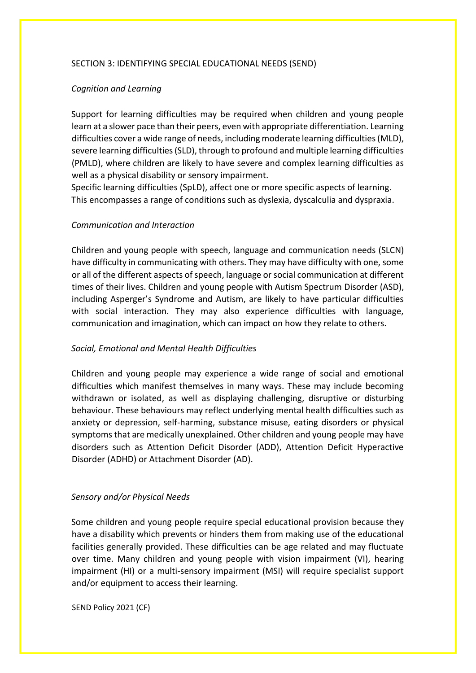#### SECTION 3: IDENTIFYING SPECIAL EDUCATIONAL NEEDS (SEND)

#### *Cognition and Learning*

Support for learning difficulties may be required when children and young people learn at a slower pace than their peers, even with appropriate differentiation. Learning difficulties cover a wide range of needs, including moderate learning difficulties (MLD), severe learning difficulties (SLD), through to profound and multiple learning difficulties (PMLD), where children are likely to have severe and complex learning difficulties as well as a physical disability or sensory impairment.

Specific learning difficulties (SpLD), affect one or more specific aspects of learning. This encompasses a range of conditions such as dyslexia, dyscalculia and dyspraxia.

#### *Communication and Interaction*

Children and young people with speech, language and communication needs (SLCN) have difficulty in communicating with others. They may have difficulty with one, some or all of the different aspects of speech, language or social communication at different times of their lives. Children and young people with Autism Spectrum Disorder (ASD), including Asperger's Syndrome and Autism, are likely to have particular difficulties with social interaction. They may also experience difficulties with language, communication and imagination, which can impact on how they relate to others.

#### *Social, Emotional and Mental Health Difficulties*

Children and young people may experience a wide range of social and emotional difficulties which manifest themselves in many ways. These may include becoming withdrawn or isolated, as well as displaying challenging, disruptive or disturbing behaviour. These behaviours may reflect underlying mental health difficulties such as anxiety or depression, self-harming, substance misuse, eating disorders or physical symptoms that are medically unexplained. Other children and young people may have disorders such as Attention Deficit Disorder (ADD), Attention Deficit Hyperactive Disorder (ADHD) or Attachment Disorder (AD).

#### *Sensory and/or Physical Needs*

Some children and young people require special educational provision because they have a disability which prevents or hinders them from making use of the educational facilities generally provided. These difficulties can be age related and may fluctuate over time. Many children and young people with vision impairment (VI), hearing impairment (HI) or a multi-sensory impairment (MSI) will require specialist support and/or equipment to access their learning.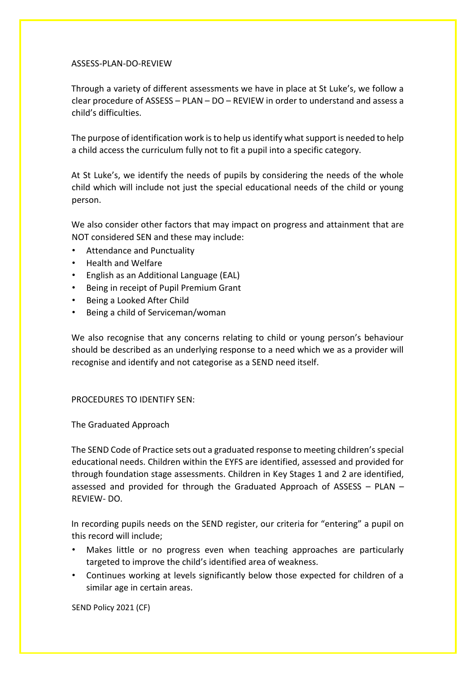#### ASSESS-PLAN-DO-REVIEW

Through a variety of different assessments we have in place at St Luke's, we follow a clear procedure of ASSESS – PLAN – DO – REVIEW in order to understand and assess a child's difficulties.

The purpose of identification work is to help us identify what support is needed to help a child access the curriculum fully not to fit a pupil into a specific category.

At St Luke's, we identify the needs of pupils by considering the needs of the whole child which will include not just the special educational needs of the child or young person.

We also consider other factors that may impact on progress and attainment that are NOT considered SEN and these may include:

- Attendance and Punctuality
- Health and Welfare
- English as an Additional Language (EAL)
- Being in receipt of Pupil Premium Grant
- Being a Looked After Child
- Being a child of Serviceman/woman

We also recognise that any concerns relating to child or young person's behaviour should be described as an underlying response to a need which we as a provider will recognise and identify and not categorise as a SEND need itself.

#### PROCEDURES TO IDENTIFY SEN:

#### The Graduated Approach

The SEND Code of Practice sets out a graduated response to meeting children's special educational needs. Children within the EYFS are identified, assessed and provided for through foundation stage assessments. Children in Key Stages 1 and 2 are identified, assessed and provided for through the Graduated Approach of ASSESS – PLAN – REVIEW- DO.

In recording pupils needs on the SEND register, our criteria for "entering" a pupil on this record will include;

- Makes little or no progress even when teaching approaches are particularly targeted to improve the child's identified area of weakness.
- Continues working at levels significantly below those expected for children of a similar age in certain areas.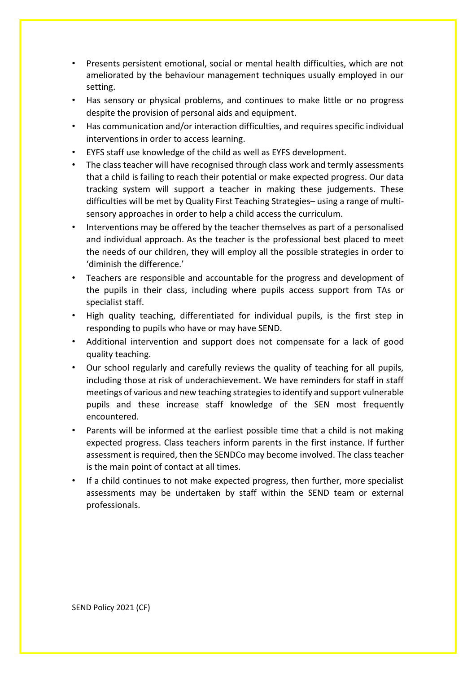- Presents persistent emotional, social or mental health difficulties, which are not ameliorated by the behaviour management techniques usually employed in our setting.
- Has sensory or physical problems, and continues to make little or no progress despite the provision of personal aids and equipment.
- Has communication and/or interaction difficulties, and requires specific individual interventions in order to access learning.
- EYFS staff use knowledge of the child as well as EYFS development.
- The class teacher will have recognised through class work and termly assessments that a child is failing to reach their potential or make expected progress. Our data tracking system will support a teacher in making these judgements. These difficulties will be met by Quality First Teaching Strategies– using a range of multisensory approaches in order to help a child access the curriculum.
- Interventions may be offered by the teacher themselves as part of a personalised and individual approach. As the teacher is the professional best placed to meet the needs of our children, they will employ all the possible strategies in order to 'diminish the difference.'
- Teachers are responsible and accountable for the progress and development of the pupils in their class, including where pupils access support from TAs or specialist staff.
- High quality teaching, differentiated for individual pupils, is the first step in responding to pupils who have or may have SEND.
- Additional intervention and support does not compensate for a lack of good quality teaching.
- Our school regularly and carefully reviews the quality of teaching for all pupils, including those at risk of underachievement. We have reminders for staff in staff meetings of various and new teaching strategies to identify and support vulnerable pupils and these increase staff knowledge of the SEN most frequently encountered.
- Parents will be informed at the earliest possible time that a child is not making expected progress. Class teachers inform parents in the first instance. If further assessment is required, then the SENDCo may become involved. The class teacher is the main point of contact at all times.
- If a child continues to not make expected progress, then further, more specialist assessments may be undertaken by staff within the SEND team or external professionals.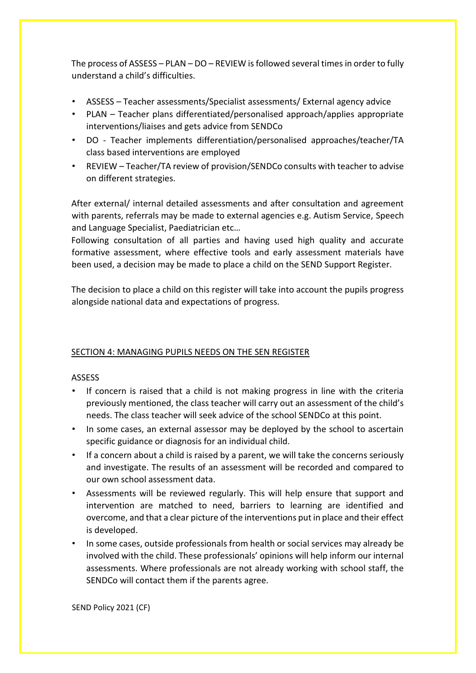The process of ASSESS – PLAN – DO – REVIEW is followed several times in order to fully understand a child's difficulties.

- ASSESS Teacher assessments/Specialist assessments/ External agency advice
- PLAN Teacher plans differentiated/personalised approach/applies appropriate interventions/liaises and gets advice from SENDCo
- DO Teacher implements differentiation/personalised approaches/teacher/TA class based interventions are employed
- REVIEW Teacher/TA review of provision/SENDCo consults with teacher to advise on different strategies.

After external/ internal detailed assessments and after consultation and agreement with parents, referrals may be made to external agencies e.g. Autism Service, Speech and Language Specialist, Paediatrician etc…

Following consultation of all parties and having used high quality and accurate formative assessment, where effective tools and early assessment materials have been used, a decision may be made to place a child on the SEND Support Register.

The decision to place a child on this register will take into account the pupils progress alongside national data and expectations of progress.

## SECTION 4: MANAGING PUPILS NEEDS ON THE SEN REGISTER

#### ASSESS

- If concern is raised that a child is not making progress in line with the criteria previously mentioned, the class teacher will carry out an assessment of the child's needs. The class teacher will seek advice of the school SENDCo at this point.
- In some cases, an external assessor may be deployed by the school to ascertain specific guidance or diagnosis for an individual child.
- If a concern about a child is raised by a parent, we will take the concerns seriously and investigate. The results of an assessment will be recorded and compared to our own school assessment data.
- Assessments will be reviewed regularly. This will help ensure that support and intervention are matched to need, barriers to learning are identified and overcome, and that a clear picture of the interventions put in place and their effect is developed.
- In some cases, outside professionals from health or social services may already be involved with the child. These professionals' opinions will help inform our internal assessments. Where professionals are not already working with school staff, the SENDCo will contact them if the parents agree.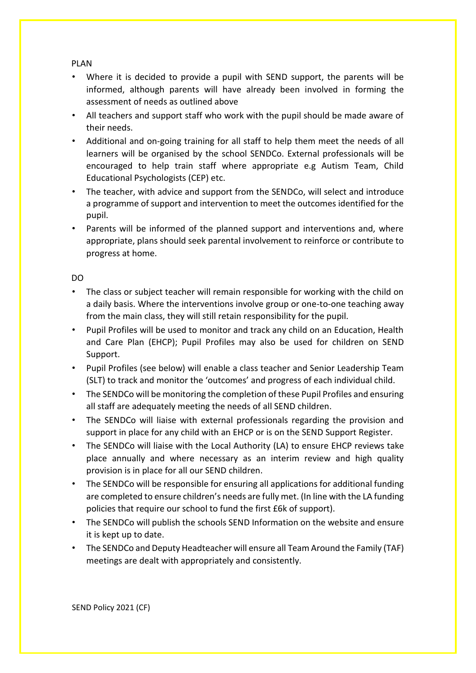## PLAN

- Where it is decided to provide a pupil with SEND support, the parents will be informed, although parents will have already been involved in forming the assessment of needs as outlined above
- All teachers and support staff who work with the pupil should be made aware of their needs.
- Additional and on-going training for all staff to help them meet the needs of all learners will be organised by the school SENDCo. External professionals will be encouraged to help train staff where appropriate e.g Autism Team, Child Educational Psychologists (CEP) etc.
- The teacher, with advice and support from the SENDCo, will select and introduce a programme of support and intervention to meet the outcomes identified for the pupil.
- Parents will be informed of the planned support and interventions and, where appropriate, plans should seek parental involvement to reinforce or contribute to progress at home.

## DO

- The class or subject teacher will remain responsible for working with the child on a daily basis. Where the interventions involve group or one-to-one teaching away from the main class, they will still retain responsibility for the pupil.
- Pupil Profiles will be used to monitor and track any child on an Education, Health and Care Plan (EHCP); Pupil Profiles may also be used for children on SEND Support.
- Pupil Profiles (see below) will enable a class teacher and Senior Leadership Team (SLT) to track and monitor the 'outcomes' and progress of each individual child.
- The SENDCo will be monitoring the completion of these Pupil Profiles and ensuring all staff are adequately meeting the needs of all SEND children.
- The SENDCo will liaise with external professionals regarding the provision and support in place for any child with an EHCP or is on the SEND Support Register.
- The SENDCo will liaise with the Local Authority (LA) to ensure EHCP reviews take place annually and where necessary as an interim review and high quality provision is in place for all our SEND children.
- The SENDCo will be responsible for ensuring all applications for additional funding are completed to ensure children's needs are fully met. (In line with the LA funding policies that require our school to fund the first £6k of support).
- The SENDCo will publish the schools SEND Information on the website and ensure it is kept up to date.
- The SENDCo and Deputy Headteacher will ensure all Team Around the Family (TAF) meetings are dealt with appropriately and consistently.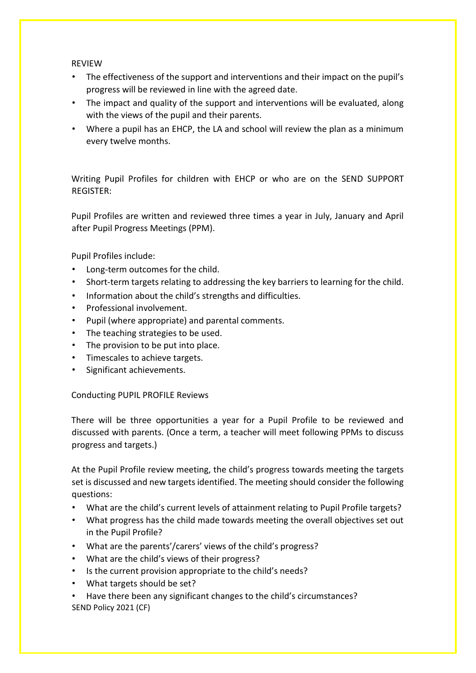### REVIEW

- The effectiveness of the support and interventions and their impact on the pupil's progress will be reviewed in line with the agreed date.
- The impact and quality of the support and interventions will be evaluated, along with the views of the pupil and their parents.
- Where a pupil has an EHCP, the LA and school will review the plan as a minimum every twelve months.

Writing Pupil Profiles for children with EHCP or who are on the SEND SUPPORT REGISTER:

Pupil Profiles are written and reviewed three times a year in July, January and April after Pupil Progress Meetings (PPM).

Pupil Profiles include:

- Long-term outcomes for the child.
- Short-term targets relating to addressing the key barriers to learning for the child.
- Information about the child's strengths and difficulties.
- Professional involvement.
- Pupil (where appropriate) and parental comments.
- The teaching strategies to be used.
- The provision to be put into place.
- Timescales to achieve targets.
- Significant achievements.

#### Conducting PUPIL PROFILE Reviews

There will be three opportunities a year for a Pupil Profile to be reviewed and discussed with parents. (Once a term, a teacher will meet following PPMs to discuss progress and targets.)

At the Pupil Profile review meeting, the child's progress towards meeting the targets set is discussed and new targets identified. The meeting should consider the following questions:

- What are the child's current levels of attainment relating to Pupil Profile targets?
- What progress has the child made towards meeting the overall objectives set out in the Pupil Profile?
- What are the parents'/carers' views of the child's progress?
- What are the child's views of their progress?
- Is the current provision appropriate to the child's needs?
- What targets should be set?
- SEND Policy 2021 (CF) • Have there been any significant changes to the child's circumstances?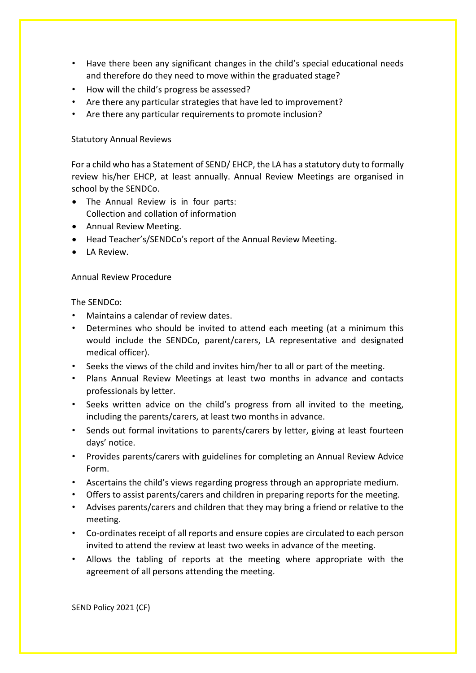- Have there been any significant changes in the child's special educational needs and therefore do they need to move within the graduated stage?
- How will the child's progress be assessed?
- Are there any particular strategies that have led to improvement?
- Are there any particular requirements to promote inclusion?

#### Statutory Annual Reviews

For a child who has a Statement of SEND/ EHCP, the LA has a statutory duty to formally review his/her EHCP, at least annually. Annual Review Meetings are organised in school by the SENDCo.

- The Annual Review is in four parts: Collection and collation of information
- Annual Review Meeting.
- Head Teacher's/SENDCo's report of the Annual Review Meeting.
- **.** LA Review.

#### Annual Review Procedure

#### The SENDCo:

- Maintains a calendar of review dates.
- Determines who should be invited to attend each meeting (at a minimum this would include the SENDCo, parent/carers, LA representative and designated medical officer).
- Seeks the views of the child and invites him/her to all or part of the meeting.
- Plans Annual Review Meetings at least two months in advance and contacts professionals by letter.
- Seeks written advice on the child's progress from all invited to the meeting, including the parents/carers, at least two months in advance.
- Sends out formal invitations to parents/carers by letter, giving at least fourteen days' notice.
- Provides parents/carers with guidelines for completing an Annual Review Advice Form.
- Ascertains the child's views regarding progress through an appropriate medium.
- Offers to assist parents/carers and children in preparing reports for the meeting.
- Advises parents/carers and children that they may bring a friend or relative to the meeting.
- Co-ordinates receipt of all reports and ensure copies are circulated to each person invited to attend the review at least two weeks in advance of the meeting.
- Allows the tabling of reports at the meeting where appropriate with the agreement of all persons attending the meeting.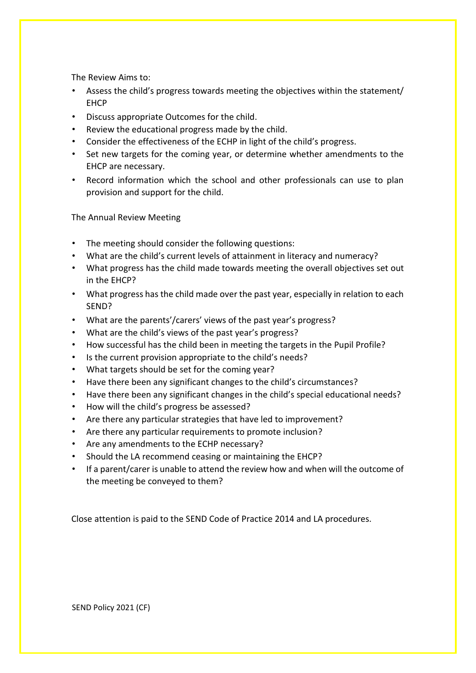The Review Aims to:

- Assess the child's progress towards meeting the objectives within the statement/ EHCP
- Discuss appropriate Outcomes for the child.
- Review the educational progress made by the child.
- Consider the effectiveness of the ECHP in light of the child's progress.
- Set new targets for the coming year, or determine whether amendments to the EHCP are necessary.
- Record information which the school and other professionals can use to plan provision and support for the child.

The Annual Review Meeting

- The meeting should consider the following questions:
- What are the child's current levels of attainment in literacy and numeracy?
- What progress has the child made towards meeting the overall objectives set out in the EHCP?
- What progress has the child made over the past year, especially in relation to each SEND?
- What are the parents'/carers' views of the past year's progress?
- What are the child's views of the past year's progress?
- How successful has the child been in meeting the targets in the Pupil Profile?
- Is the current provision appropriate to the child's needs?
- What targets should be set for the coming year?
- Have there been any significant changes to the child's circumstances?
- Have there been any significant changes in the child's special educational needs?
- How will the child's progress be assessed?
- Are there any particular strategies that have led to improvement?
- Are there any particular requirements to promote inclusion?
- Are any amendments to the ECHP necessary?
- Should the LA recommend ceasing or maintaining the EHCP?
- If a parent/carer is unable to attend the review how and when will the outcome of the meeting be conveyed to them?

Close attention is paid to the SEND Code of Practice 2014 and LA procedures.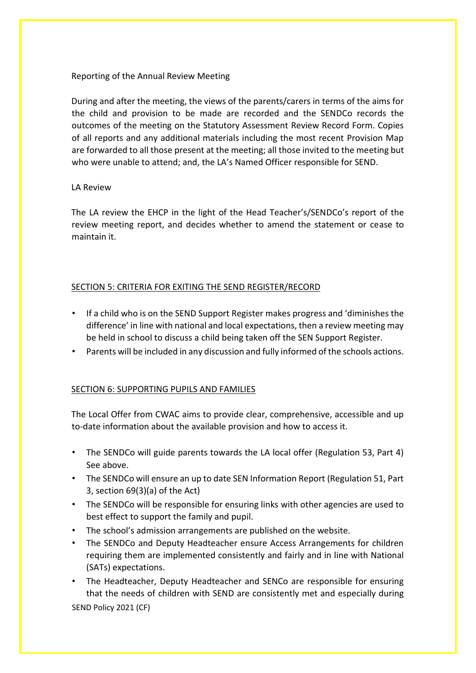#### Reporting of the Annual Review Meeting

During and after the meeting, the views of the parents/carers in terms of the aims for the child and provision to be made are recorded and the SENDCo records the outcomes of the meeting on the Statutory Assessment Review Record Form. Copies of all reports and any additional materials including the most recent Provision Map are forwarded to all those present at the meeting; all those invited to the meeting but who were unable to attend; and, the LA's Named Officer responsible for SEND.

#### LA Review

The LA review the EHCP in the light of the Head Teacher's/SENDCo's report of the review meeting report, and decides whether to amend the statement or cease to maintain it.

## SECTION 5: CRITERIA FOR EXITING THE SEND REGISTER/RECORD

- If a child who is on the SEND Support Register makes progress and 'diminishes the difference' in line with national and local expectations, then a review meeting may be held in school to discuss a child being taken off the SEN Support Register.
- Parents will be included in any discussion and fully informed of the schools actions.

## SECTION 6: SUPPORTING PUPILS AND FAMILIES

The Local Offer from CWAC aims to provide clear, comprehensive, accessible and up to-date information about the available provision and how to access it.

- The SENDCo will guide parents towards the LA local offer (Regulation 53, Part 4) See above.
- The SENDCo will ensure an up to date SEN Information Report (Regulation 51, Part 3, section 69(3)(a) of the Act)
- The SENDCo will be responsible for ensuring links with other agencies are used to best effect to support the family and pupil.
- The school's admission arrangements are published on the website.
- The SENDCo and Deputy Headteacher ensure Access Arrangements for children requiring them are implemented consistently and fairly and in line with National (SATs) expectations.
- The Headteacher, Deputy Headteacher and SENCo are responsible for ensuring that the needs of children with SEND are consistently met and especially during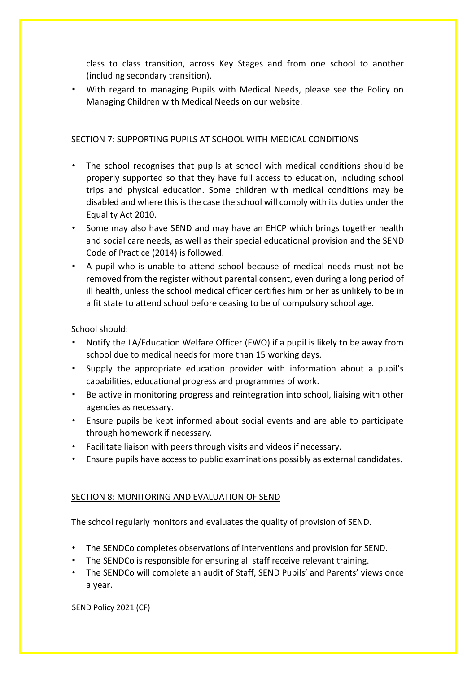class to class transition, across Key Stages and from one school to another (including secondary transition).

• With regard to managing Pupils with Medical Needs, please see the Policy on Managing Children with Medical Needs on our website.

## SECTION 7: SUPPORTING PUPILS AT SCHOOL WITH MEDICAL CONDITIONS

- The school recognises that pupils at school with medical conditions should be properly supported so that they have full access to education, including school trips and physical education. Some children with medical conditions may be disabled and where this is the case the school will comply with its duties under the Equality Act 2010.
- Some may also have SEND and may have an EHCP which brings together health and social care needs, as well as their special educational provision and the SEND Code of Practice (2014) is followed.
- A pupil who is unable to attend school because of medical needs must not be removed from the register without parental consent, even during a long period of ill health, unless the school medical officer certifies him or her as unlikely to be in a fit state to attend school before ceasing to be of compulsory school age.

School should:

- Notify the LA/Education Welfare Officer (EWO) if a pupil is likely to be away from school due to medical needs for more than 15 working days.
- Supply the appropriate education provider with information about a pupil's capabilities, educational progress and programmes of work.
- Be active in monitoring progress and reintegration into school, liaising with other agencies as necessary.
- Ensure pupils be kept informed about social events and are able to participate through homework if necessary.
- Facilitate liaison with peers through visits and videos if necessary.
- Ensure pupils have access to public examinations possibly as external candidates.

## SECTION 8: MONITORING AND EVALUATION OF SEND

The school regularly monitors and evaluates the quality of provision of SEND.

- The SENDCo completes observations of interventions and provision for SEND.
- The SENDCo is responsible for ensuring all staff receive relevant training.
- The SENDCo will complete an audit of Staff, SEND Pupils' and Parents' views once a year.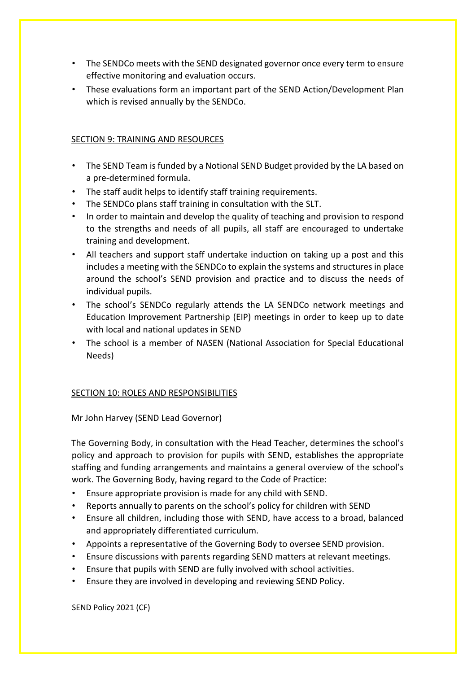- The SENDCo meets with the SEND designated governor once every term to ensure effective monitoring and evaluation occurs.
- These evaluations form an important part of the SEND Action/Development Plan which is revised annually by the SENDCo.

## SECTION 9: TRAINING AND RESOURCES

- The SEND Team is funded by a Notional SEND Budget provided by the LA based on a pre-determined formula.
- The staff audit helps to identify staff training requirements.
- The SENDCo plans staff training in consultation with the SLT.
- In order to maintain and develop the quality of teaching and provision to respond to the strengths and needs of all pupils, all staff are encouraged to undertake training and development.
- All teachers and support staff undertake induction on taking up a post and this includes a meeting with the SENDCo to explain the systems and structures in place around the school's SEND provision and practice and to discuss the needs of individual pupils.
- The school's SENDCo regularly attends the LA SENDCo network meetings and Education Improvement Partnership (EIP) meetings in order to keep up to date with local and national updates in SEND
- The school is a member of NASEN (National Association for Special Educational Needs)

## SECTION 10: ROLES AND RESPONSIBILITIES

Mr John Harvey (SEND Lead Governor)

The Governing Body, in consultation with the Head Teacher, determines the school's policy and approach to provision for pupils with SEND, establishes the appropriate staffing and funding arrangements and maintains a general overview of the school's work. The Governing Body, having regard to the Code of Practice:

- Ensure appropriate provision is made for any child with SEND.
- Reports annually to parents on the school's policy for children with SEND
- Ensure all children, including those with SEND, have access to a broad, balanced and appropriately differentiated curriculum.
- Appoints a representative of the Governing Body to oversee SEND provision.
- Ensure discussions with parents regarding SEND matters at relevant meetings.
- Ensure that pupils with SEND are fully involved with school activities.
- Ensure they are involved in developing and reviewing SEND Policy.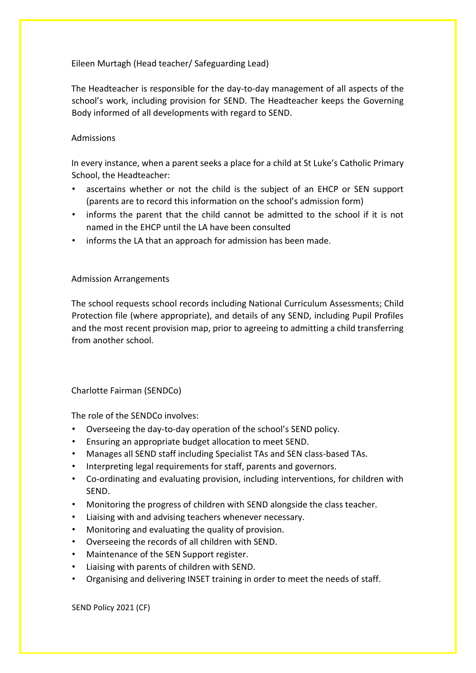## Eileen Murtagh (Head teacher/ Safeguarding Lead)

The Headteacher is responsible for the day-to-day management of all aspects of the school's work, including provision for SEND. The Headteacher keeps the Governing Body informed of all developments with regard to SEND.

## Admissions

In every instance, when a parent seeks a place for a child at St Luke's Catholic Primary School, the Headteacher:

- ascertains whether or not the child is the subject of an EHCP or SEN support (parents are to record this information on the school's admission form)
- informs the parent that the child cannot be admitted to the school if it is not named in the EHCP until the LA have been consulted
- informs the LA that an approach for admission has been made.

#### Admission Arrangements

The school requests school records including National Curriculum Assessments; Child Protection file (where appropriate), and details of any SEND, including Pupil Profiles and the most recent provision map, prior to agreeing to admitting a child transferring from another school.

Charlotte Fairman (SENDCo)

The role of the SENDCo involves:

- Overseeing the day-to-day operation of the school's SEND policy.
- Ensuring an appropriate budget allocation to meet SEND.
- Manages all SEND staff including Specialist TAs and SEN class-based TAs.
- Interpreting legal requirements for staff, parents and governors.
- Co-ordinating and evaluating provision, including interventions, for children with SEND.
- Monitoring the progress of children with SEND alongside the class teacher.
- Liaising with and advising teachers whenever necessary.
- Monitoring and evaluating the quality of provision.
- Overseeing the records of all children with SEND.
- Maintenance of the SEN Support register.
- Liaising with parents of children with SEND.
- Organising and delivering INSET training in order to meet the needs of staff.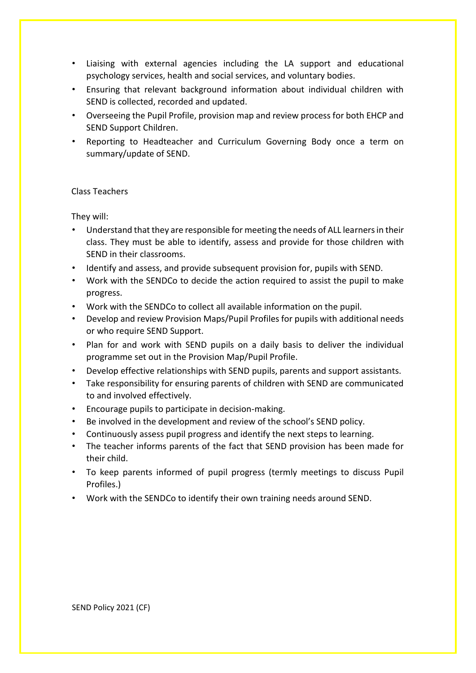- Liaising with external agencies including the LA support and educational psychology services, health and social services, and voluntary bodies.
- Ensuring that relevant background information about individual children with SEND is collected, recorded and updated.
- Overseeing the Pupil Profile, provision map and review process for both EHCP and SEND Support Children.
- Reporting to Headteacher and Curriculum Governing Body once a term on summary/update of SEND.

#### Class Teachers

They will:

- Understand that they are responsible for meeting the needs of ALL learners in their class. They must be able to identify, assess and provide for those children with SEND in their classrooms.
- Identify and assess, and provide subsequent provision for, pupils with SEND.
- Work with the SENDCo to decide the action required to assist the pupil to make progress.
- Work with the SENDCo to collect all available information on the pupil.
- Develop and review Provision Maps/Pupil Profiles for pupils with additional needs or who require SEND Support.
- Plan for and work with SEND pupils on a daily basis to deliver the individual programme set out in the Provision Map/Pupil Profile.
- Develop effective relationships with SEND pupils, parents and support assistants.
- Take responsibility for ensuring parents of children with SEND are communicated to and involved effectively.
- Encourage pupils to participate in decision-making.
- Be involved in the development and review of the school's SEND policy.
- Continuously assess pupil progress and identify the next steps to learning.
- The teacher informs parents of the fact that SEND provision has been made for their child.
- To keep parents informed of pupil progress (termly meetings to discuss Pupil Profiles.)
- Work with the SENDCo to identify their own training needs around SEND.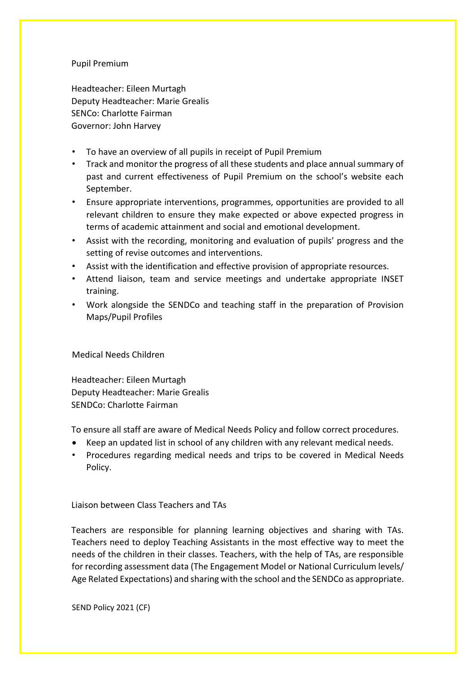#### Pupil Premium

Headteacher: Eileen Murtagh Deputy Headteacher: Marie Grealis SENCo: Charlotte Fairman Governor: John Harvey

- To have an overview of all pupils in receipt of Pupil Premium
- Track and monitor the progress of all these students and place annual summary of past and current effectiveness of Pupil Premium on the school's website each September.
- Ensure appropriate interventions, programmes, opportunities are provided to all relevant children to ensure they make expected or above expected progress in terms of academic attainment and social and emotional development.
- Assist with the recording, monitoring and evaluation of pupils' progress and the setting of revise outcomes and interventions.
- Assist with the identification and effective provision of appropriate resources.
- Attend liaison, team and service meetings and undertake appropriate INSET training.
- Work alongside the SENDCo and teaching staff in the preparation of Provision Maps/Pupil Profiles

Medical Needs Children

Headteacher: Eileen Murtagh Deputy Headteacher: Marie Grealis SENDCo: Charlotte Fairman

To ensure all staff are aware of Medical Needs Policy and follow correct procedures.

- Keep an updated list in school of any children with any relevant medical needs.
- Procedures regarding medical needs and trips to be covered in Medical Needs Policy.

Liaison between Class Teachers and TAs

Teachers are responsible for planning learning objectives and sharing with TAs. Teachers need to deploy Teaching Assistants in the most effective way to meet the needs of the children in their classes. Teachers, with the help of TAs, are responsible for recording assessment data (The Engagement Model or National Curriculum levels/ Age Related Expectations) and sharing with the school and the SENDCo as appropriate.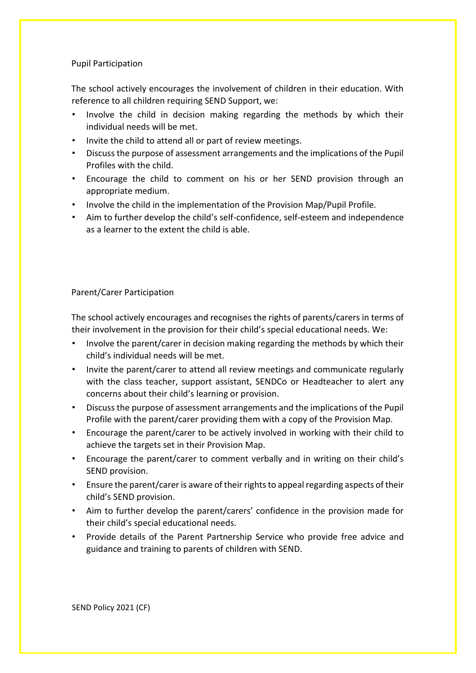## Pupil Participation

The school actively encourages the involvement of children in their education. With reference to all children requiring SEND Support, we:

- Involve the child in decision making regarding the methods by which their individual needs will be met.
- Invite the child to attend all or part of review meetings.
- Discuss the purpose of assessment arrangements and the implications of the Pupil Profiles with the child.
- Encourage the child to comment on his or her SEND provision through an appropriate medium.
- Involve the child in the implementation of the Provision Map/Pupil Profile.
- Aim to further develop the child's self-confidence, self-esteem and independence as a learner to the extent the child is able.

## Parent/Carer Participation

The school actively encourages and recognises the rights of parents/carers in terms of their involvement in the provision for their child's special educational needs. We:

- Involve the parent/carer in decision making regarding the methods by which their child's individual needs will be met.
- Invite the parent/carer to attend all review meetings and communicate regularly with the class teacher, support assistant, SENDCo or Headteacher to alert any concerns about their child's learning or provision.
- Discuss the purpose of assessment arrangements and the implications of the Pupil Profile with the parent/carer providing them with a copy of the Provision Map.
- Encourage the parent/carer to be actively involved in working with their child to achieve the targets set in their Provision Map.
- Encourage the parent/carer to comment verbally and in writing on their child's SEND provision.
- Ensure the parent/carer is aware of their rights to appeal regarding aspects of their child's SEND provision.
- Aim to further develop the parent/carers' confidence in the provision made for their child's special educational needs.
- Provide details of the Parent Partnership Service who provide free advice and guidance and training to parents of children with SEND.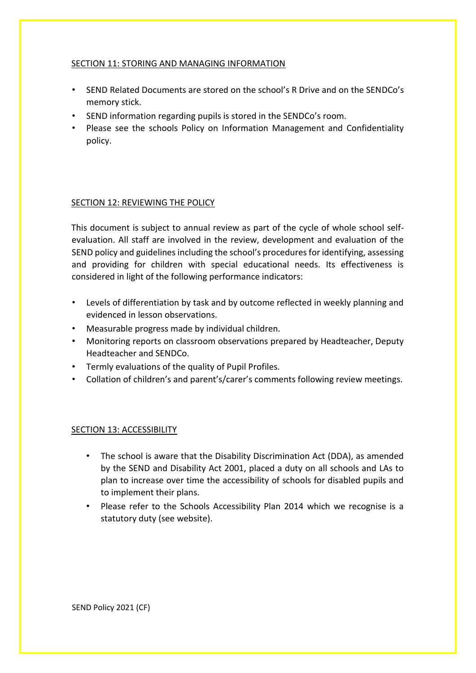## SECTION 11: STORING AND MANAGING INFORMATION

- SEND Related Documents are stored on the school's R Drive and on the SENDCo's memory stick.
- SEND information regarding pupils is stored in the SENDCo's room.
- Please see the schools Policy on Information Management and Confidentiality policy.

## SECTION 12: REVIEWING THE POLICY

This document is subject to annual review as part of the cycle of whole school selfevaluation. All staff are involved in the review, development and evaluation of the SEND policy and guidelines including the school's procedures for identifying, assessing and providing for children with special educational needs. Its effectiveness is considered in light of the following performance indicators:

- Levels of differentiation by task and by outcome reflected in weekly planning and evidenced in lesson observations.
- Measurable progress made by individual children.
- Monitoring reports on classroom observations prepared by Headteacher, Deputy Headteacher and SENDCo.
- Termly evaluations of the quality of Pupil Profiles.
- Collation of children's and parent's/carer's comments following review meetings.

#### SECTION 13: ACCESSIBILITY

- The school is aware that the Disability Discrimination Act (DDA), as amended by the SEND and Disability Act 2001, placed a duty on all schools and LAs to plan to increase over time the accessibility of schools for disabled pupils and to implement their plans.
- Please refer to the Schools Accessibility Plan 2014 which we recognise is a statutory duty (see website).